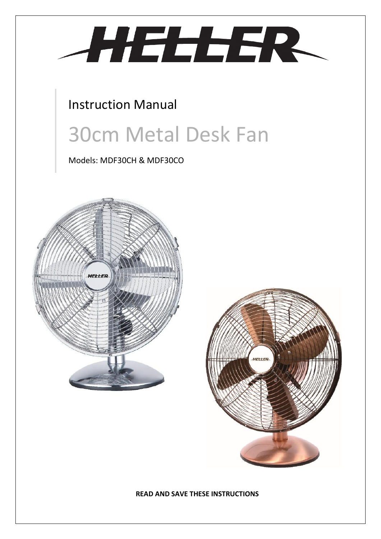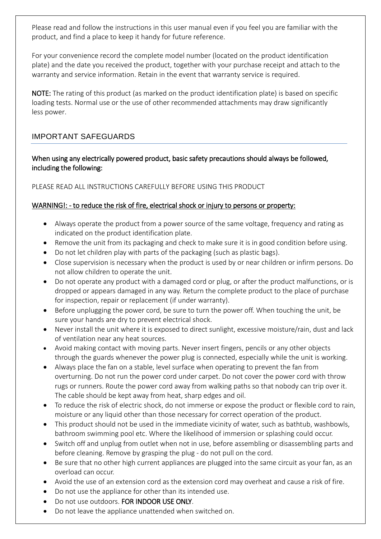Please read and follow the instructions in this user manual even if you feel you are familiar with the product, and find a place to keep it handy for future reference.

For your convenience record the complete model number (located on the product identification plate) and the date you received the product, together with your purchase receipt and attach to the warranty and service information. Retain in the event that warranty service is required.

NOTE: The rating of this product (as marked on the product identification plate) is based on specific loading tests. Normal use or the use of other recommended attachments may draw significantly less power.

# IMPORTANT SAFEGUARDS

#### When using any electrically powered product, basic safety precautions should always be followed, including the following:

PLEASE READ ALL INSTRUCTIONS CAREFULLY BEFORE USING THIS PRODUCT

#### WARNING!: - to reduce the risk of fire, electrical shock or injury to persons or property:

- Always operate the product from a power source of the same voltage, frequency and rating as indicated on the product identification plate.
- Remove the unit from its packaging and check to make sure it is in good condition before using.
- Do not let children play with parts of the packaging (such as plastic bags).
- Close supervision is necessary when the product is used by or near children or infirm persons. Do not allow children to operate the unit.
- Do not operate any product with a damaged cord or plug, or after the product malfunctions, or is dropped or appears damaged in any way. Return the complete product to the place of purchase for inspection, repair or replacement (if under warranty).
- Before unplugging the power cord, be sure to turn the power off. When touching the unit, be sure your hands are dry to prevent electrical shock.
- Never install the unit where it is exposed to direct sunlight, excessive moisture/rain, dust and lack of ventilation near any heat sources.
- Avoid making contact with moving parts. Never insert fingers, pencils or any other objects through the guards whenever the power plug is connected, especially while the unit is working.
- Always place the fan on a stable, level surface when operating to prevent the fan from overturning. Do not run the power cord under carpet. Do not cover the power cord with throw rugs or runners. Route the power cord away from walking paths so that nobody can trip over it. The cable should be kept away from heat, sharp edges and oil.
- To reduce the risk of electric shock, do not immerse or expose the product or flexible cord to rain, moisture or any liquid other than those necessary for correct operation of the product.
- This product should not be used in the immediate vicinity of water, such as bathtub, washbowls, bathroom swimming pool etc. Where the likelihood of immersion or splashing could occur.
- Switch off and unplug from outlet when not in use, before assembling or disassembling parts and before cleaning. Remove by grasping the plug - do not pull on the cord.
- Be sure that no other high current appliances are plugged into the same circuit as your fan, as an overload can occur.
- Avoid the use of an extension cord as the extension cord may overheat and cause a risk of fire.
- Do not use the appliance for other than its intended use.
- Do not use outdoors. FOR INDOOR USE ONLY.
- Do not leave the appliance unattended when switched on.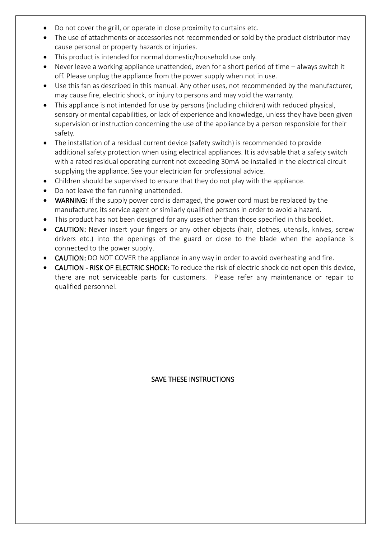- Do not cover the grill, or operate in close proximity to curtains etc.
- The use of attachments or accessories not recommended or sold by the product distributor may cause personal or property hazards or injuries.
- This product is intended for normal domestic/household use only.
- Never leave a working appliance unattended, even for a short period of time always switch it off. Please unplug the appliance from the power supply when not in use.
- Use this fan as described in this manual. Any other uses, not recommended by the manufacturer, may cause fire, electric shock, or injury to persons and may void the warranty.
- This appliance is not intended for use by persons (including children) with reduced physical, sensory or mental capabilities, or lack of experience and knowledge, unless they have been given supervision or instruction concerning the use of the appliance by a person responsible for their safety.
- The installation of a residual current device (safety switch) is recommended to provide additional safety protection when using electrical appliances. It is advisable that a safety switch with a rated residual operating current not exceeding 30mA be installed in the electrical circuit supplying the appliance. See your electrician for professional advice.
- Children should be supervised to ensure that they do not play with the appliance.
- Do not leave the fan running unattended.
- WARNING: If the supply power cord is damaged, the power cord must be replaced by the manufacturer, its service agent or similarly qualified persons in order to avoid a hazard.
- This product has not been designed for any uses other than those specified in this booklet.
- **CAUTION:** Never insert your fingers or any other objects (hair, clothes, utensils, knives, screw drivers etc.) into the openings of the guard or close to the blade when the appliance is connected to the power supply.
- **CAUTION:** DO NOT COVER the appliance in any way in order to avoid overheating and fire.
- CAUTION RISK OF ELECTRIC SHOCK: To reduce the risk of electric shock do not open this device, there are not serviceable parts for customers. Please refer any maintenance or repair to qualified personnel.

#### SAVE THESE INSTRUCTIONS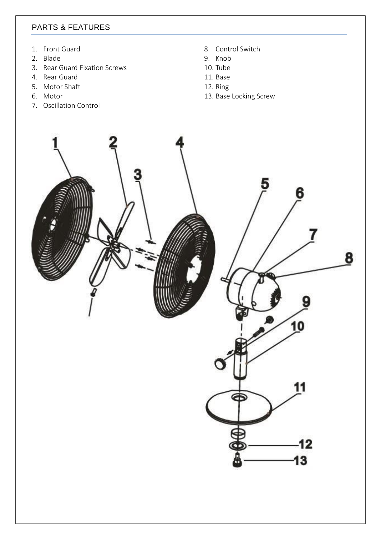# PARTS & FEATURES

- 1. Front Guard
- 2. Blade
- 3. Rear Guard Fixation Screws
- 4. Rear Guard
- 5. Motor Shaft
- 6. Motor
- 7. Oscillation Control
- 8. Control Switch
- 9. Knob
- 10. Tube
- 11. Base
- 12. Ring
- 13. Base Locking Screw

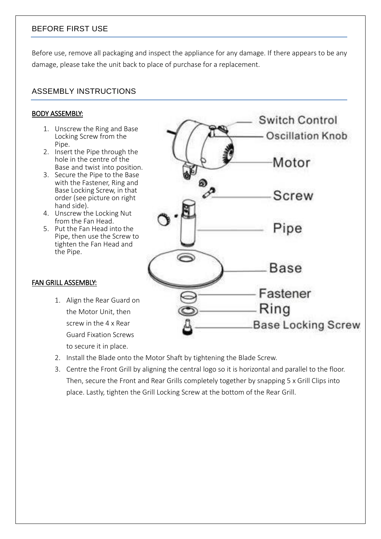## BEFORE FIRST USE

Before use, remove all packaging and inspect the appliance for any damage. If there appears to be any damage, please take the unit back to place of purchase for a replacement.

# ASSEMBLY INSTRUCTIONS

#### BODY ASSEMBLY:

- 1. Unscrew the Ring and Base Locking Screw from the Pipe.
- 2. Insert the Pipe through the hole in the centre of the Base and twist into position.
- 3. Secure the Pipe to the Base with the Fastener, Ring and Base Locking Screw, in that order (see picture on right hand side).
- 4. Unscrew the Locking Nut from the Fan Head.
- 5. Put the Fan Head into the Pipe, then use the Screw to tighten the Fan Head and the Pipe.

#### FAN GRILL ASSEMBLY:

- 1. Align the Rear Guard on the Motor Unit, then screw in the 4 x Rear Guard Fixation Screws to secure it in place.
- Switch Control Oscillation Knob Motor Screw Pipe Base Fastener Ring **Base Locking Screw**
- 2. Install the Blade onto the Motor Shaft by tightening the Blade Screw.
- 3. Centre the Front Grill by aligning the central logo so it is horizontal and parallel to the floor. Then, secure the Front and Rear Grills completely together by snapping 5 x Grill Clips into place. Lastly, tighten the Grill Locking Screw at the bottom of the Rear Grill.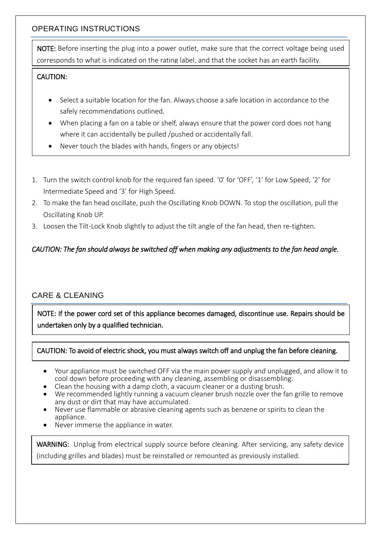# OPERATING INSTRUCTIONS

NOTE: Before inserting the plug into a power outlet, make sure that the correct voltage being used corresponds to what is indicated on the rating label, and that the socket has an earth facility.

## CAUTION:

- Select a suitable location for the fan. Always choose a safe location in accordance to the safely recommendations outlined.
- When placing a fan on a table or shelf, always ensure that the power cord does not hang where it can accidentally be pulled /pushed or accidentally fall.
- Never touch the blades with hands, fingers or any objects!

• Do not hang or mount the fan on a wall of ceiling.

- 1. Turn the switch control knob for the required fan speed. '0' for 'OFF', '1' for Low Speed, '2' for Intermediate Speed and '3' for High Speed.
- 2. To make the fan head oscillate, push the Oscillating Knob DOWN. To stop the oscillation, pull the Oscillating Knob UP.
- 3. Loosen the Tilt-Lock Knob slightly to adjust the tilt angle of the fan head, then re-tighten.

# *CAUTION: The fan should always be switched off when making any adjustments to the fan head angle.*

# CARE & CLEANING

NOTE: If the power cord set of this appliance becomes damaged, discontinue use. Repairs should be undertaken only by a qualified technician.

CAUTION: To avoid of electric shock, you must always switch off and unplug the fan before cleaning.

- Your appliance must be switched OFF via the main power supply and unplugged, and allow it to cool down before proceeding with any cleaning, assembling or disassembling.
- Clean the housing with a damp cloth, a vacuum cleaner or a dusting brush.
- We recommended lightly running a vacuum cleaner brush nozzle over the fan grille to remove any dust or dirt that may have accumulated.
- Never use flammable or abrasive cleaning agents such as benzene or spirits to clean the appliance.
- Never immerse the appliance in water.

WARNING: Unplug from electrical supply source before cleaning. After servicing, any safety device (including grilles and blades) must be reinstalled or remounted as previously installed.